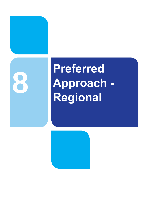

# **Preferred Approach - Regional**

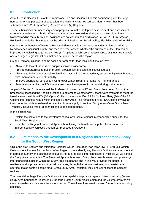# **8.1 Introduction**

As outlined in Section 1.9.4 of the Framework Plan and Section 1.4 of this document, given the large number of WRZs per capita of population, the National Water Resources Plan (NWRP) has been subdivided into 22 Study Areas (SAs) across four (4) Regions.

These subdivisions are necessary and appropriate to make the Option development and assessment tasks manageable for both Irish Water and the public/stakeholders during the consultation phase. Notwithstanding the sub-division, solutions are not constrained by distance i.e., WRZ, Study Area or Regional boundaries, but instead by the criteria of Resilience, Sustainability, Flexibility and Deliverability.

One of the key benefits of having a Regional Plan is that it allows us to consider Options to address Need for each individual supply, and then to further assess whether the outcomes of the Plan can be improved by reviewing larger Study Area (SA) Options which serve multiple WRZs at Study Area Level; or even larger Regional Options that can be applied across the region.

SA and Regional Options in some cases perform better than local solutions, as they:

- Allow us to look at the resilient supplies across a wider area
- Provide opportunities to decommission problematic, unsustainable local sources
- Allow us to balance our overall regional abstraction in an improved way across multiple catchments, with improvements in sustainability
- Improve operational control by having fewer Water Treatment Plants (WTPs) to manage
- Provide more resilient WRZs that are less sensitive to peaks in demand during critical events.

As part of Section 7, we reviewed the Preferred Approach at WRZ and Study Area Level. During that process we assessed the Feasible Options to determine whether any Options were available to meet the Need across multiple WRZs (SA Options). This process identified 35 SA Options. Thirty (30) of the SA Options interconnect WRZs within the same Study Area. The remaining five (5) SA Options involve an interconnection with an external transfer i.e., from a supply in another Study Area (Cross Study Area Transfer), including three (3) connections to adjacent regions.

In this section we:

- Explain the limitations to the development of a large-scale regional interconnected supply for the South West Region; and
- Describe the Regional Preferred Approach, outlining the benefits of supply rationalisation and interconnectivity achieved through our proposed SA Options.

# **8.2 Limitations to the Development of a Regional Interconnected Supply for the South West Region**

Unlike the draft Eastern and Midlands Regional Water Resources Plan (draft RWRP-EM), our Option Development Process for the South West Region did not identify any Feasible Options with the potential, in terms of quantity and distribution of supply, for a large-scale interconnection of multiple WRZs across the Study Area boundaries. The Preferred Approach for each Study Area does however comprise large, interconnected supplies within the Study Area boundaries and in this way provides the benefit of resilience and improved environmental outcomes, through the decommissioning of unsustainable sources. It also contains some small Cross Study Area Transfers, including connections to adjacent regions.

The potential for large Feasible Options with the capability to provide regional interconnectivity (across Study Area boundaries) is limited by the terrain of the South West Region and the volume of water we can sustainably abstract from the water sources. These limitations are discussed further in the following sections.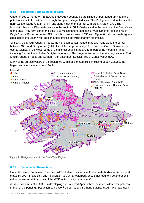## **8.2.1 Topography and Designated Sites**

Opportunities to merge WRZs across Study Area boundaries are limited by both topography and the potential impact of construction through European designated sites. The Mullaghareirk Mountains in the north west of Study Area H (SAH) runs along much of the border with Study Area J (SAJ). The Mountains have the Blackwater valley to the south in SAJ, Castleisland to the west, and the Deel Valley to the east. They form part of the Stack's to Mullaghareirk Mountains, West Limerick Hills and Mount Eagle Special Protection Area (SPA), which covers an area of 556 km<sup>2</sup>. Figure 8.1 shows the designated sites across the South West Region and identifies the Mullaghareirk Mountains.

Similarly, the Macgillycuddy's Reeks, the highest mountain range in Ireland, runs along the border between SAH and Study Area I (SAI). It stretches approximately 19km from the Gap of Dunloe in the east to Glencar in the west. Some of the highest peaks in Ireland form part of the mountain range, including Carrauntoohil, Ireland's highest mountain. The range forms part of the Killarney National Park, Macgillycuddy's Reeks and Caragh River Catchment Special Area of Conservation (SAC).

Many of the surface waters of the region are within designated sites, including Lough Guitane, the largest surface water source in SAH.



**Figure 8.1 Designated sites in the South West Region**

#### **8.2.2 Sustainable Abstractions**

Under the Water Framework Directive (WFD), Ireland must ensure that all waterbodies achieve 'Good' status by 2027. In addition, any modification to a WFD waterbody should not lead to a deterioration in either the overall status or any of the WFD water quality parameters<sup>1</sup>.

As discussed in Section 2.3.7, in developing our Preferred Approach we have considered the potential impact of the pending Abstraction Legislation<sup>2</sup> on our Supply Demand Balance (SDB). We have used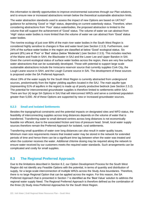this information to identify opportunities to improve environmental outcomes through our Plan solutions, and to ensure new or increased abstractions remain below the theoretical sustainable abstraction limits.

The water abstraction standards used to assess the impact of new Options are based on UKTAG<sup>3</sup> guidance for achieving 'Good' or 'High' status, depending on current waterbody status. Therefore, when considering abstractions from 'Poor' status waterbodies, the proposed abstraction is limited to the volume that will support the achievement of 'Good' status. The volume of water we can abstract from 'High' status water bodies is more limited than the volume of water we can abstract from 'Good' status water bodies.

The riverine ecology of just over 80% of the main river water bodies in the South West Region is considered highly sensitive to changes in flow and water level (see Section 2.3.3). Furthermore, over 24% of the surface water bodies in the region are classified at below 'Good' ecological status. Six percent (6%) are at 'Poor' or 'Bad' status (below 'Moderate') (see Section 2.3.5). This includes reaches of the Maine and Feale in SAH, the Blackwater in SAJ and the Lower Lee and Upper Bandon in SAI. Given the current ecological status of surface water bodies across the region, there are very few surface water abstractions that can be sustainably developed. Those with potential to support large scale sustainable abstractions include the Inniscarra reservoir source that currently supplies Cork City, the Lough Leane source in SAH, and the Lough Currane source in SAI. The development of these sources is proposed under the SA Preferred Approach.

About 19% of the water supply for the South West Region is currently abstracted from underground sources, predominantly from the higher yielding aquifers located in the SAJ. The main aquifer type (representing 51% of aquifers in the region) is made up of poorly productive bedrock (see Section 2.3.2). The potential for interconnected groundwater supplies is therefore limited to settlements within SAJ. There are four (4) large SA Options in SAJ that will interconnect WRZs and serve a combined population greater than 5,000. All of these Options are supported by new or increased groundwater sources.

#### **8.2.3 Small and Isolated Settlements**

Besides the topographical constraints and the potential impacts on designated sites and WFD status, the feasibility of interconnecting supplies across long distances depends on the volume of water that is transferred. Transferring water to small demand centres across long distances is not economically feasible nor efficient, due to the associated friction and loss of pressure head. Small, local water supply sources therefore remain the Preferred Approach for isolated, rural settlements.

Transferring small quantities of water over long distances can also result in water quality issues. Minimum main size requirements means that treated water may be stored in the network for extended periods of time and hence there can be a significant time lag between when the water was treated and when the customer receives the water. Additional chlorine dosing may be required along the network to ensure water received by our customers meets the required water standards. Such arrangements can be complicated and costly for small supplies.

## **8.3 The Regional Preferred Approach**

Due to the limitations described in Section 8.2, our Option Development Process for the South West Region did not identify any Feasible Options with the potential, in terms of quantity and distribution of supply, for a large-scale interconnection of multiple WRZs across the Study Area boundaries. Therefore, there is no large Regional Option that can be applied across the region. For this reason, the SA Preferred Approach that is presented in Section 7 is identified as the 'Best Value' solution to address the regional water supply Need. The Regional Preferred Approach is therefore defined as the combination of the three (3) Study Area Preferred Approaches for the South West Region.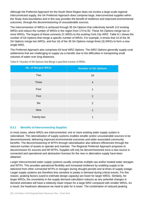Although the Preferred Approach for the South West Region does not involve a large-scale regional interconnected supply, the SA Preferred Approach does comprise large, interconnected supplies within the Study Area boundaries and in this way provides the benefit of resilience and improved environmental outcomes, through the decommissioning of unsustainable sources.

The interconnection of WRZs is achieved through 35 SA Options that collectively benefit 112 existing WRZs and reduce the number of WRZs in the region from 174 to 92. These SA Options merge two or more WRZs. The largest of these connects 21 WRZs to the existing Cork City WRZ. Table 8.1 shows the number of SA Options that merge a specific number of WRZs. For example, it shows that 24 of the 35 SA Options merge two WRZs, and four (4) of the 35 SA Options merge three (3) WRZs to form a new single WRZ.

The Preferred Approach also comprises 63 local WRZ Options. The WRZ Options generally supply rural settlements that are challenging to supply via a transfer due to the difficulties in transporting small volumes of water over long distances.

| <b>No. of Merged WRZs</b> | <b>Number of SA Options</b> |
|---------------------------|-----------------------------|
| Two                       | 24                          |
| Three                     | $\overline{4}$              |
| Four                      | 1                           |
| Five                      | 2                           |
| <b>Six</b>                | 2                           |
| <b>Nine</b>               | 1                           |
| Twenty-two                | 1                           |

**Table 8.1 Number of SA Options that Merge a specified number of WRZs**

## **8.3.1 Benefits of Interconnecting Supplies**

In most cases, where WRZs are interconnected, one or more existing water supply system is rationalised. The rationalisation of supply systems enables smaller and/or unsustainable sources to be decommissioned, delivering improved environmental outcomes and wider associated community benefits. The decommissioning of WTPs through rationalisation also delivers efficiencies through the reduced number of assets to operate and maintain. The Regional Preferred Approach proposes to decommission 91 sources and 90 WTPs. Supplies will only be decommissioned once a new source is connected and operational and abstraction licenses for the new or alternative supply have been obtained.

Larger interconnected water supply systems usually comprise multiple raw and/or treated water storages and WTPs. This provides operational flexibility and increased resilience by enabling supply to be delivered from other connected WTPs or storages during drought periods and at times of supply outage. Larger supply systems are therefore less sensitive to peaks in demand during critical events. For this reason, peaking factors (used to estimate design capacity) are lower for larger WRZs. Similarly, for larger WRZs, the uncertainty in the supply demand calculation reduces as any potential changes in demand estimates will have a relatively lower impact for a large WRZ compared with smaller WRZs. As a result, the headroom allowance we need to plan for is lower. The combination of reduced peaking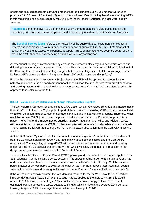effects and reduced headroom allowance means that the estimated supply volume that we need to provide a 1 in 50 Level of Service (LoS) to customers is lower. One of the key benefits of merging WRZs is this reduction in the design capacity resulting from the increased resilience of larger water supply systems.

**Headroom** is the term given to a buffer in the Supply Demand Balance (SDB). It accounts for the uncertainty with data and the assumptions used in the supply and demand estimates and forecasts.

The **Level of Service (LoS)** refers to the Reliability of the supply that our customers can expect to receive and is expressed as a frequency or return period of supply failure. A 1 in 50 LoS means that customers would only expect to experience a supply failure, on average, once every 50 years, or there would be a 2% chance of experiencing a supply failure in any given year.

Another benefit of larger interconnected systems is the increased efficiency and economies of scale in delivering leakage reduction measures compared with fragmented systems. As explained in Section 5 of this Plan, we have committed to leakage targets that reduce leakage levels to 21% of average demand for large WRZs where the demand is greater than 1,500 cubic metres per day  $(m^3/day)$ .

Prior to the development of solutions at Project Level, the SDB will be updated to account for the potential reduction in the demand component of the calculation that results from the reduced headroom and peaking factors and increased leakage target (see Section 6.4). The following section describes the approach to re-calculating the SDB.

#### **8.3.1.1 Volume Benefit Calculation for Large Interconnected Supplies**

The SA Preferred Approach for SAI, includes a SA Option which rationalises 18 WRZs and interconnects three (3) WRZs to the Cork City supply. As part of the approach the existing WTPs of the 18 rationalised WRZs will be decommissioned due to their age, condition and limited volume of supply. Therefore, water available for use (WAFU) from these supplies will reduce to zero when the Preferred Approach is in place. The WTPs for the interconnected supplies - Bandon Regional, Clonakility and Midleton WRZs – will be maintained, however the WAFU for these supplies will be reduced to allowable abstraction levels. The remaining Deficit will then be supplied from the increased abstraction from the Cork City Inniscarra source.

As the SA Grouped Option will result in the formation of one larger WRZ, rather than sum the demand from the 21 WRZs individually, a Cork City Regional WRZ will be considered and the SDB will be recalculated. The single larger merged WRZ will be associated with a lower headroom and peaking factor (applied in SDB calculations for large WRZs) which will allow the benefit of a reduction in the design capacity required to provide the 1 in 50 Level of Service.

Table 8.2 lists the Dry Year Critical Period (DYCP) peaking and headroom factors that are applied in the SDB calculation for the existing discrete systems. This shows that the larger WRZs, such as Clonakility and Cork, have lower headroom factors compared with smaller WRZs. Additionally, Cork has a lower peaking factor of 8% compared to 20% for the other WRZs. For the proposed integrated multi-source system, the headroom and peaking factors will reduce to 13% and 8%, respectively across all WRZs.

If the WRZs are to remain isolated, the total demand required for the 22 WRZs would be 215 million litres per day (Ml/day) (Table 8.2). With Leakage Targets applied to the merged WRZs, this would reduce to 172 Ml/day, representing a 20% reduction in the required supply volume. The current estimated leakage across the WRZs equates to 64 Ml/d, which is 42% of the average 2044 demand. Leakage targets of 21% of average demand will reduce leakage to 28Ml/d.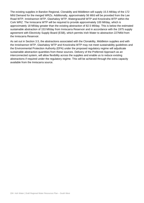The existing supplies in Bandon Regional, Clonakilty and Middleton will supply 15.5 Ml/day of the 172 Ml/d Demand for the merged WRZs. Additionally, approximately 56 Ml/d will be provided from the Lee Road WTP, Innishannon WTP, Glashaboy WTP, Watergrasshill WTP and Knockraha WTP within the Cork WRZ. The Inniscarra WTP will be required to provide approximately 100 Ml/day, which is approximately 18 Ml/day greater than the existing abstraction of 82.5 Ml/day. This is below the estimated sustainable abstraction of 153 Ml/day from Inniscarra Reservoir and in accordance with the 1975 supply agreement with Electricity Supply Board (ESB), which permits Irish Water to abstraction 227Ml/d from the Inniscarra Reservoir.

As set out in Section 3.5, the abstractions associated with the Clonakility, Middleton supplies and with the Innishannon WTP, Glashaboy WTP and Knockraha WTP may not meet sustainability guidelines and the Environmental Protection Authority (EPA) under the proposed regulatory regime will adjudicate sustainable abstraction quantities from these sources. Delivery of the Preferred Approach as an interconnected system, will allow flexibility across the supplies and enable us to reduce existing abstractions if required under the regulatory regime. This will be achieved through the extra capacity available from the Inniscarra source.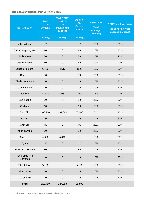**Table 8.2 Supply Required from Cork City Supply** 

| <b>Current WRZ</b>         | 2044<br><b>DYCP*</b><br><b>Demand</b> | 2044 DYCP*<br><b>WAFU**</b><br>from<br>maintained<br><b>supplies</b> | <b>Additio</b><br>nal<br><b>Supply</b><br>required | <b>Headroom</b><br>(% of<br><b>Average</b><br><b>Demand)</b> | <b>DYCP*</b> peaking factor<br>(% of normal year<br>average demand) |
|----------------------------|---------------------------------------|----------------------------------------------------------------------|----------------------------------------------------|--------------------------------------------------------------|---------------------------------------------------------------------|
|                            | (m <sup>3</sup> /day)                 | (m <sup>3</sup> /day)                                                | (m <sup>3</sup> /day)                              |                                                              |                                                                     |
| Aghabullogue               | 100                                   | $\mathbf 0$                                                          | 100                                                | 20%                                                          | 20%                                                                 |
| Ballincurrig-Lisgoold      | 90                                    | $\mathbf 0$                                                          | 90                                                 | 20%                                                          | 20%                                                                 |
| <b>Ballinagree</b>         | 50                                    | $\pmb{0}$                                                            | 50                                                 | 20%                                                          | 20%                                                                 |
| Ballyshoneen               | 40                                    | $\pmb{0}$                                                            | 40                                                 | 20%                                                          | 20%                                                                 |
| <b>Bandon Regional</b>     | 6,400                                 | 4,510                                                                | 1890                                               | 15%                                                          | 20%                                                                 |
| <b>Bayview</b>             | 70                                    | $\mathbf 0$                                                          | 70                                                 | 20%                                                          | 20%                                                                 |
| Clash-Leamleara            | 30                                    | $\mathbf 0$                                                          | 30                                                 | 20%                                                          | 20%                                                                 |
| Clashanamid                | 10                                    | $\mathbf 0$                                                          | 10                                                 | 20%                                                          | 20%                                                                 |
| Clonakilty                 | 10,850                                | 5,950                                                                | 4,900                                              | 15%                                                          | 20%                                                                 |
| Coolineagh                 | 10                                    | $\pmb{0}$                                                            | 10                                                 | 20%                                                          | 20%                                                                 |
| Corbally                   | 90                                    | $\mathbf 0$                                                          | 90                                                 | 20%                                                          | 20%                                                                 |
| Cork City                  | 186,900                               | 131,890                                                              | 55,000                                             | 8%                                                           | 13%                                                                 |
| Cullen                     | 10                                    | $\mathbf 0$                                                          | 10                                                 | 20%                                                          | 20%                                                                 |
| Grenagh                    | 440                                   | $\mathbf 0$                                                          | 440                                                | 20%                                                          | 20%                                                                 |
| Knockburden                | 20                                    | $\mathbf 0$                                                          | 20                                                 | 20%                                                          | 20%                                                                 |
| Midleton                   | 4,800                                 | 5,040                                                                | $\pmb{0}$                                          | 15%                                                          | 20%                                                                 |
| Rylan                      | 240                                   | $\mathbf 0$                                                          | 240                                                | 20%                                                          | 20%                                                                 |
| <b>Stoneview Blarney</b>   | 50                                    | $\pmb{0}$                                                            | 50                                                 | 20%                                                          | 20%                                                                 |
| Templemartin &<br>Garranes | 40                                    | $\mathbf 0$                                                          | 40                                                 | 20%                                                          | 20%                                                                 |
| Tibbotstown                | 5,150                                 | $\boldsymbol{0}$                                                     | 5,150                                              | 15%                                                          | 20%                                                                 |
| Vicarstown                 | 10                                    | $\boldsymbol{0}$                                                     | 10                                                 | 20%                                                          | 20%                                                                 |
| Walshtown                  | 20                                    | $\mathbf 0$                                                          | 20                                                 | 20%                                                          | 20%                                                                 |
| <b>Total</b>               | 215,420                               | 147,390                                                              | 68,000                                             |                                                              |                                                                     |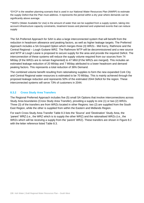\*DYCP is the weather planning scenario that is used in our National Water Resources Plan (NWRP) to estimate the supply Deficit that the Plan must address. It represents the period within a dry year where demands can be significantly above average.

\*\*WAFU (Water Available for Use) is the amount of water that can be supplied from a supply system, taking into account infrastructure capacity constraints, treatment losses and planned and unplanned events that can reduce supply

The SA Preferred Approach for SAH is also a large interconnected system that will benefit from the reduction in headroom allowance and peaking factors, as well as higher leakage targets. The Preferred Approach includes a SA Grouped Option which merges three (3) WRZs - Mid Kerry, Rathmore and the Central Regional – Lough Guitane WRZ. The Rathmore WTP will be decommissioned and a new source and WTP at Lough Leane is proposed to secure supply for the area and provide the required Deficit. The interconnection of these systems will reduce the supply volume required from our sources from 74 Ml/day (if the WRZs are to remain fragmented) to 47 Ml/d (if the WRZs are merged). This includes an estimated leakage reduction of 20 Ml/day and 7 Ml/day attributed to a lower headroom and demand peaking factors. This represents a total reduction of 36% Demand.

The combined volume benefit resulting from rationalising supplies to form the new expanded Cork City and Central Regional water resources is estimated to be 70 Ml/day. This is mainly achieved through the proposed leakage reduction and represents 50% of the estimated 2044 Deficit for the region. These interconnected systems will serve 73% of customers in 2044.

## **8.3.2 Cross Study Area Transfers**

The Regional Preferred Approach includes five (5) small SA Options that involve interconnections across Study Area boundaries (Cross Study Area Transfer), providing a supply to one (1) or two (2) WRZs. Three (3) of the transfers are from WRZs located in other Regions: two (2) are supplied from the South East Region, while the other is supplied from within the Eastern and Midlands Region.

For each Cross Study Area Transfer Table 8.3 lists the 'Source' and 'Destination' Study Area, the 'parent' WRZ (i.e., the WRZ which is to supply the other WRZ) and the rationalised WRZs (i.e., the WRZs which will be receiving a supply from the 'parent' WRZ). These transfers are shown in Figure 8.2 with the letter reference listed Table 8.3.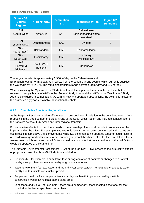#### **Table 8.3 Cross Study Area Transfers**

| <b>Source SA</b><br>(Source<br><b>Region)</b> | 'Parent' WRZ           | <b>Destination</b><br><b>SA</b> | <b>Rationalised WRZs</b>                           | Figure 8.2<br><b>Reference</b> |
|-----------------------------------------------|------------------------|---------------------------------|----------------------------------------------------|--------------------------------|
| <b>SAI</b><br>(South West)                    | Waterville             | <b>SAH</b>                      | Cahersiveen,<br>Emlaghheasta/Portma<br>gee/ Maulin | A                              |
| SAI<br>(South West)                           | Donoughmore            | <b>SAJ</b>                      | <b>Bweeng</b>                                      | B                              |
| <b>SAK</b><br>(South East)                    | <b>Ballylanders</b>    | SAJ                             | Labbamollogga                                      | C                              |
| <b>SAK</b><br>(South East)                    | Inchinleamy            | <b>SAJ</b>                      | Kilmurry<br>(Mitchlestown)                         | D                              |
| SA <sub>8</sub><br>(Eastern &<br>Midlands)    | South West<br>Regional | SAJ                             | Monabricka                                         | Е                              |

The largest transfer is approximately  $2,900$  m $3$ /day to the Cahersiveen and Emphalaghheasta/Portmagee/Maulin WRZs from the Lough Currane source, which currently supplies the Waterville WRZ in SAI. The remaining transfers range between 20 m<sup>3</sup>/day and 230 m<sup>3</sup>/day.

When assessing the Options at the Study Area Level, the impact of the abstraction volume that is required to supply both the WRZs in the 'Source' Study Area and the WRZs in the 'Destination' Study Area, is considered in combination. As with all new and upgraded abstractions, the volume is limited to the estimated dry year sustainable abstraction threshold.

## **8.3.3 Cumulative Effects at Regional Level**

At the Regional Level, cumulative effects need to be considered in relation to the combined effects from proposals in the three component Study Areas of the South West Region and includes consideration of the transfers across Study Areas and inter-regional transfers.

For cumulative effects to occur, there needs to be an overlap of temporal periods in some way for the impacts and/or the effect. For example, two strategic-level schemes being constructed at the same time could result in cumulative traffic movements, while two schemes being operated together could result in a drawdown of groundwater levels. A precautionary approach has been taken for the cumulative effects assessment, which assumes that all Options could be constructed at the same time and then all Options would be operated at the same time.

The Strategic Environmental Assessment (SEA) of the draft RWRP-SW assessed the cumulative effects of proposals across the three (3) Study Areas related to:

- Biodiversity for example, a cumulative loss or fragmentation of habitats or changes to a habitat quality through changes in water quality or groundwater levels;
- Water environment (surface water and ground water WFD status) for example changes to water quality due to multiple construction projects;
- People and health for example, nuisance or physical health impacts caused by multiple construction works taking place at the same time;
- Landscape and visual for example if there are a number of Options located close together that could alter the landscape character or views;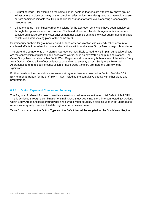- Cultural heritage for example if the same cultural heritage features are affected by above ground infrastructure in close proximity or the combined effect of loss to undesignated archaeological assets or from combined impacts resulting in additional changes to water levels affecting archaeological resources; and
- Climate change combined carbon emissions for the approach as a whole have been considered through the approach selection process. Combined effects on climate change adaptation are also considered biodiversity, the water environment (for example changes to water quality due to multiple construction works taking place at the same time).

Sustainability analysis for groundwater and surface water abstractions has already taken account of combined effects from other Irish Water abstractions within and across Study Area or region boundaries.

Therefore, the components of Preferred Approaches most likely to lead to within-plan cumulative effects are the construction of pipelines and associated works, such as new WTPs and pumping stations. The Cross Study Area transfers within South West Region are shorter in length than some of the within Study Area Options. Cumulative effect on landscape and visual amenity across Study Area Preferred Approaches and from pipeline construction of these cross transfers are therefore unlikely to be significant.

Further details of the cumulative assessment at regional level are provided in Section 9 of the SEA Environmental Report for the draft RWRP-SW, including the cumulative effects with other plans and programmes.

#### **8.3.4 Option Types and Component Summary**

The Regional Preferred Approach provides a solution to address an estimated total Deficit of 141 Ml/d. This is achieved through a combination of small Cross Study Area Transfers, interconnected SA Options within Study Areas and local groundwater and surface water sources. It also includes WTP upgrades to reduce water quality risks identified through our barrier assessment.

Table 8.4 summarises the Option Type and the Deficit that will be supplied for the South West Region.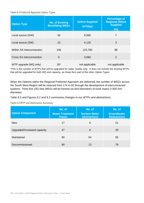#### **Table 8.4 Preferred Approach Option Types**

| <b>Option Type</b>        | <b>No. of Existing</b><br><b>Benefitting WRZs</b> | <b>Deficit Supplied</b><br>(m <sup>3</sup> /day) | <b>Percentage of</b><br><b>Regional Deficit</b><br><b>Supplied</b><br>(%) |
|---------------------------|---------------------------------------------------|--------------------------------------------------|---------------------------------------------------------------------------|
| Local source (GW)         | 26                                                | 9,560                                            | $\overline{7}$                                                            |
| Local source (SW)         | 10                                                | 4,120                                            | 3                                                                         |
| Within SA interconnection | 106                                               | 123,780                                          | 88                                                                        |
| Cross SA interconnection  | 6                                                 | 3,060                                            | 2                                                                         |
| WTP upgrade (WQ only)     | $26*$                                             | not applicable                                   | not applicable                                                            |

\*This is the number of WTPs that will be upgraded for water Quality only. It does not include the existing WTPs that will be upgraded for both WQ and capacity, as these form part of the other Option Types.

When the Options within the Regional Preferred Approach are delivered, the number of WRZs across the South West Region will be reduced from 174 to 92 through the development of interconnected systems. Thirty-five (35) new WRZs will be formed via 644 kilometres of trunk mains (>300 mm diameter).

Table 8.5 and Figures 8.2 and 8.3 summarise changes to our WTPs and abstractions.

**Table 8.5 WTP and Abstraction Summary**

| <b>Option Component</b>     | No. of<br><b>Water Treatment</b><br><b>Plants</b> | No. of<br><b>Surface Water</b><br><b>Abstractions</b> | No. of<br><b>Groundwater</b><br><b>Abstractions</b> |
|-----------------------------|---------------------------------------------------|-------------------------------------------------------|-----------------------------------------------------|
| <b>New</b>                  | 17                                                | 9                                                     | 21                                                  |
| Upgraded/Increased capacity | 47                                                | 8                                                     | 29                                                  |
| Maintained                  | 90                                                | 54                                                    | 65                                                  |
| Decommissioned              | 90                                                | 13                                                    | 78                                                  |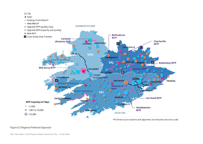#### $\bigcap$  City

#### $\bullet$  Town

- Existing Trunk Mains\*



\*All infrastructure locations and alignments are indicative and not to scale

#### **Figure 8.2 Regional Preferred Approach**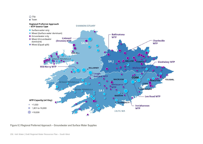#### $\bigcap$  City

 $\bullet$  Town



#### **Figure 8.3 Regional Preferred Approach – Groundwater and Surface Water Supplies**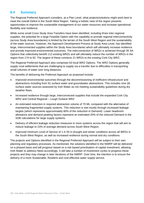# **8.4 Summary**

The Regional Preferred Approach considers, at a Plan Level, what projects/solutions might work best to meet the overall Deficit in the South West Region. Taking a holistic view of the region presents opportunities to improve the sustainable management of our water resources and increase operational flexibility and resilience.

While some small Cross Study Area Transfers have been identified, including three inter-regional supplies, the potential for a large Feasible Option with the capability to provide regional interconnectivity (across Study Area boundaries) is limited by the terrain of the South West Region and the sustainability of the water sources. However, the Approach Development Process at Study Area Level, has identified large, interconnected supplies within the Study Area boundaries which will ultimately increase resilience and provide improved environmental outcomes. The interconnection of WRZs is achieved through 35 SA Options that collectively benefit 112 existing WRZs and will ultimately reduce the number of WRZs in the region from 174 to 92. The largest of these connects 21 WRZs to the existing Cork City WRZ.

The Regional Preferred Approach also comprises 63 local WRZ Options. The WRZ Options generally supply rural settlements that are challenging to supply via a transfer due to difficulties in transporting small volumes of water over long distances.

The benefits of delivering the Preferred Approach as proposed include:

- Improved environmental outcomes through the decommissioning of inefficient infrastructure and abstractions including from 91 surface water and groundwater abstractions. This includes nine (9) surface water sources assessed by Irish Water as not meeting sustainability guidelines during dry weather flows.
- Increased resilience through large, interconnected supplies that include the expanded Cork City WRZ and Central Regional – Lough Guitane WRZ
- An estimated reduction in required abstraction volume of 70 ML compared with the alternative of maintaining fragmented supply systems. This reduction is met mostly through increased leakage targets (which represents approximately 80% of the reduction in Demand). Lower headroom allowance and demand peaking factors represent an estimated 20% of the reduced Demand in the SDB calculations for large supply systems.
- Delivery of efficient leakage reduction measures in more systems across the region that will aim to reduce leakage to 23% of average demand across South West Region.
- Improved minimum Level of Service of 1 in 50 in drought and winter conditions across all WRZs in the South West Region, as well as increased resilience during normal and dry conditions.

The projects and Options identified in the Regional Preferred Approach will be subject to their own planning and regulatory processes. As mentioned, the solutions identified in the NWRP will be delivered on a phased basis and will progress based on a risk-based prioritisation of capital investment, allowing Irish Water to address Need accordingly. It will take a number of investment cycles to progress these projects and they may change in later iterations of the NWRP. Over time, the intention is to ensure the delivery of a more Sustainable, Resilient and cost-effective water supply service.